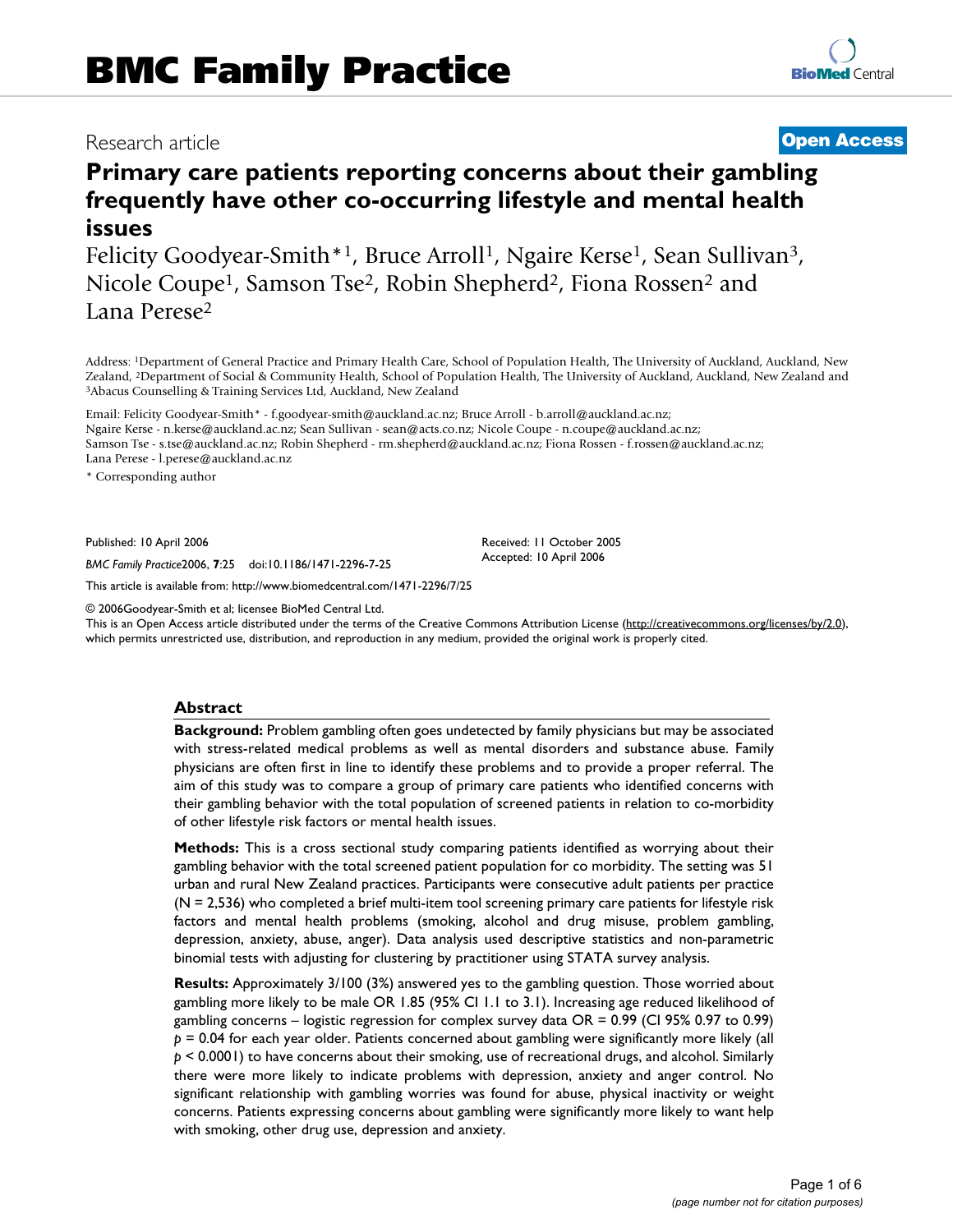## Research article **[Open Access](http://www.biomedcentral.com/info/about/charter/)**

# **Primary care patients reporting concerns about their gambling frequently have other co-occurring lifestyle and mental health issues**

Felicity Goodyear-Smith\*1, Bruce Arroll<sup>1</sup>, Ngaire Kerse<sup>1</sup>, Sean Sullivan<sup>3</sup>, Nicole Coupe<sup>1</sup>, Samson Tse<sup>2</sup>, Robin Shepherd<sup>2</sup>, Fiona Rossen<sup>2</sup> and Lana Perese2

Address: 1Department of General Practice and Primary Health Care, School of Population Health, The University of Auckland, Auckland, New Zealand, <sup>2</sup>Department of Social & Community Health, School of Population Health, The University of Auckland, Auckland, New Zealand and <sup>3</sup>Abacus Counselling & Training Services Ltd, Auckland, New Zealand and <sup>3</sup>Abacus Cou

Email: Felicity Goodyear-Smith\* - f.goodyear-smith@auckland.ac.nz; Bruce Arroll - b.arroll@auckland.ac.nz; Ngaire Kerse - n.kerse@auckland.ac.nz; Sean Sullivan - sean@acts.co.nz; Nicole Coupe - n.coupe@auckland.ac.nz; Samson Tse - s.tse@auckland.ac.nz; Robin Shepherd - rm.shepherd@auckland.ac.nz; Fiona Rossen - f.rossen@auckland.ac.nz; Lana Perese - l.perese@auckland.ac.nz

\* Corresponding author

Published: 10 April 2006

*BMC Family Practice*2006, **7**:25 doi:10.1186/1471-2296-7-25

[This article is available from: http://www.biomedcentral.com/1471-2296/7/25](http://www.biomedcentral.com/1471-2296/7/25)

© 2006Goodyear-Smith et al; licensee BioMed Central Ltd.

This is an Open Access article distributed under the terms of the Creative Commons Attribution License [\(http://creativecommons.org/licenses/by/2.0\)](http://creativecommons.org/licenses/by/2.0), which permits unrestricted use, distribution, and reproduction in any medium, provided the original work is properly cited.

Received: 11 October 2005 Accepted: 10 April 2006

#### **Abstract**

**Background:** Problem gambling often goes undetected by family physicians but may be associated with stress-related medical problems as well as mental disorders and substance abuse. Family physicians are often first in line to identify these problems and to provide a proper referral. The aim of this study was to compare a group of primary care patients who identified concerns with their gambling behavior with the total population of screened patients in relation to co-morbidity of other lifestyle risk factors or mental health issues.

**Methods:** This is a cross sectional study comparing patients identified as worrying about their gambling behavior with the total screened patient population for co morbidity. The setting was 51 urban and rural New Zealand practices. Participants were consecutive adult patients per practice (N = 2,536) who completed a brief multi-item tool screening primary care patients for lifestyle risk factors and mental health problems (smoking, alcohol and drug misuse, problem gambling, depression, anxiety, abuse, anger). Data analysis used descriptive statistics and non-parametric binomial tests with adjusting for clustering by practitioner using STATA survey analysis.

**Results:** Approximately 3/100 (3%) answered yes to the gambling question. Those worried about gambling more likely to be male OR 1.85 (95% CI 1.1 to 3.1). Increasing age reduced likelihood of gambling concerns – logistic regression for complex survey data OR = 0.99 (CI 95% 0.97 to 0.99) *p* = 0.04 for each year older. Patients concerned about gambling were significantly more likely (all *p* < 0.0001) to have concerns about their smoking, use of recreational drugs, and alcohol. Similarly there were more likely to indicate problems with depression, anxiety and anger control. No significant relationship with gambling worries was found for abuse, physical inactivity or weight concerns. Patients expressing concerns about gambling were significantly more likely to want help with smoking, other drug use, depression and anxiety.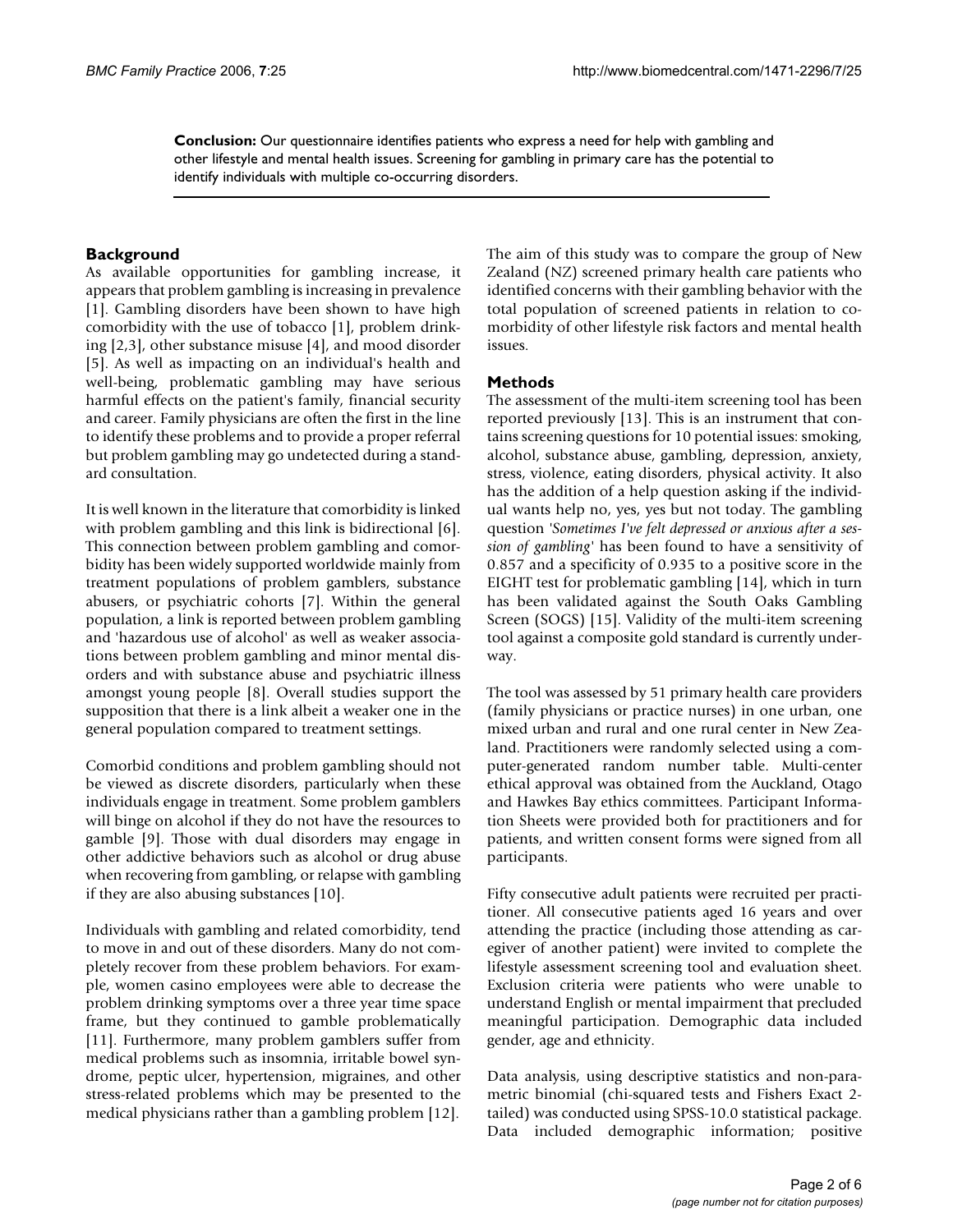**Conclusion:** Our questionnaire identifies patients who express a need for help with gambling and other lifestyle and mental health issues. Screening for gambling in primary care has the potential to identify individuals with multiple co-occurring disorders.

### **Background**

As available opportunities for gambling increase, it appears that problem gambling is increasing in prevalence [1]. Gambling disorders have been shown to have high comorbidity with the use of tobacco [1], problem drinking [2,3], other substance misuse [4], and mood disorder [5]. As well as impacting on an individual's health and well-being, problematic gambling may have serious harmful effects on the patient's family, financial security and career. Family physicians are often the first in the line to identify these problems and to provide a proper referral but problem gambling may go undetected during a standard consultation.

It is well known in the literature that comorbidity is linked with problem gambling and this link is bidirectional [6]. This connection between problem gambling and comorbidity has been widely supported worldwide mainly from treatment populations of problem gamblers, substance abusers, or psychiatric cohorts [7]. Within the general population, a link is reported between problem gambling and 'hazardous use of alcohol' as well as weaker associations between problem gambling and minor mental disorders and with substance abuse and psychiatric illness amongst young people [8]. Overall studies support the supposition that there is a link albeit a weaker one in the general population compared to treatment settings.

Comorbid conditions and problem gambling should not be viewed as discrete disorders, particularly when these individuals engage in treatment. Some problem gamblers will binge on alcohol if they do not have the resources to gamble [9]. Those with dual disorders may engage in other addictive behaviors such as alcohol or drug abuse when recovering from gambling, or relapse with gambling if they are also abusing substances [10].

Individuals with gambling and related comorbidity, tend to move in and out of these disorders. Many do not completely recover from these problem behaviors. For example, women casino employees were able to decrease the problem drinking symptoms over a three year time space frame, but they continued to gamble problematically [11]. Furthermore, many problem gamblers suffer from medical problems such as insomnia, irritable bowel syndrome, peptic ulcer, hypertension, migraines, and other stress-related problems which may be presented to the medical physicians rather than a gambling problem [12].

The aim of this study was to compare the group of New Zealand (NZ) screened primary health care patients who identified concerns with their gambling behavior with the total population of screened patients in relation to comorbidity of other lifestyle risk factors and mental health issues.

#### **Methods**

The assessment of the multi-item screening tool has been reported previously [13]. This is an instrument that contains screening questions for 10 potential issues: smoking, alcohol, substance abuse, gambling, depression, anxiety, stress, violence, eating disorders, physical activity. It also has the addition of a help question asking if the individual wants help no, yes, yes but not today. The gambling question *'Sometimes I've felt depressed or anxious after a session of gambling'* has been found to have a sensitivity of 0.857 and a specificity of 0.935 to a positive score in the EIGHT test for problematic gambling [14], which in turn has been validated against the South Oaks Gambling Screen (SOGS) [15]. Validity of the multi-item screening tool against a composite gold standard is currently underway.

The tool was assessed by 51 primary health care providers (family physicians or practice nurses) in one urban, one mixed urban and rural and one rural center in New Zealand. Practitioners were randomly selected using a computer-generated random number table. Multi-center ethical approval was obtained from the Auckland, Otago and Hawkes Bay ethics committees. Participant Information Sheets were provided both for practitioners and for patients, and written consent forms were signed from all participants.

Fifty consecutive adult patients were recruited per practitioner. All consecutive patients aged 16 years and over attending the practice (including those attending as caregiver of another patient) were invited to complete the lifestyle assessment screening tool and evaluation sheet. Exclusion criteria were patients who were unable to understand English or mental impairment that precluded meaningful participation. Demographic data included gender, age and ethnicity.

Data analysis, using descriptive statistics and non-parametric binomial (chi-squared tests and Fishers Exact 2 tailed) was conducted using SPSS-10.0 statistical package. Data included demographic information; positive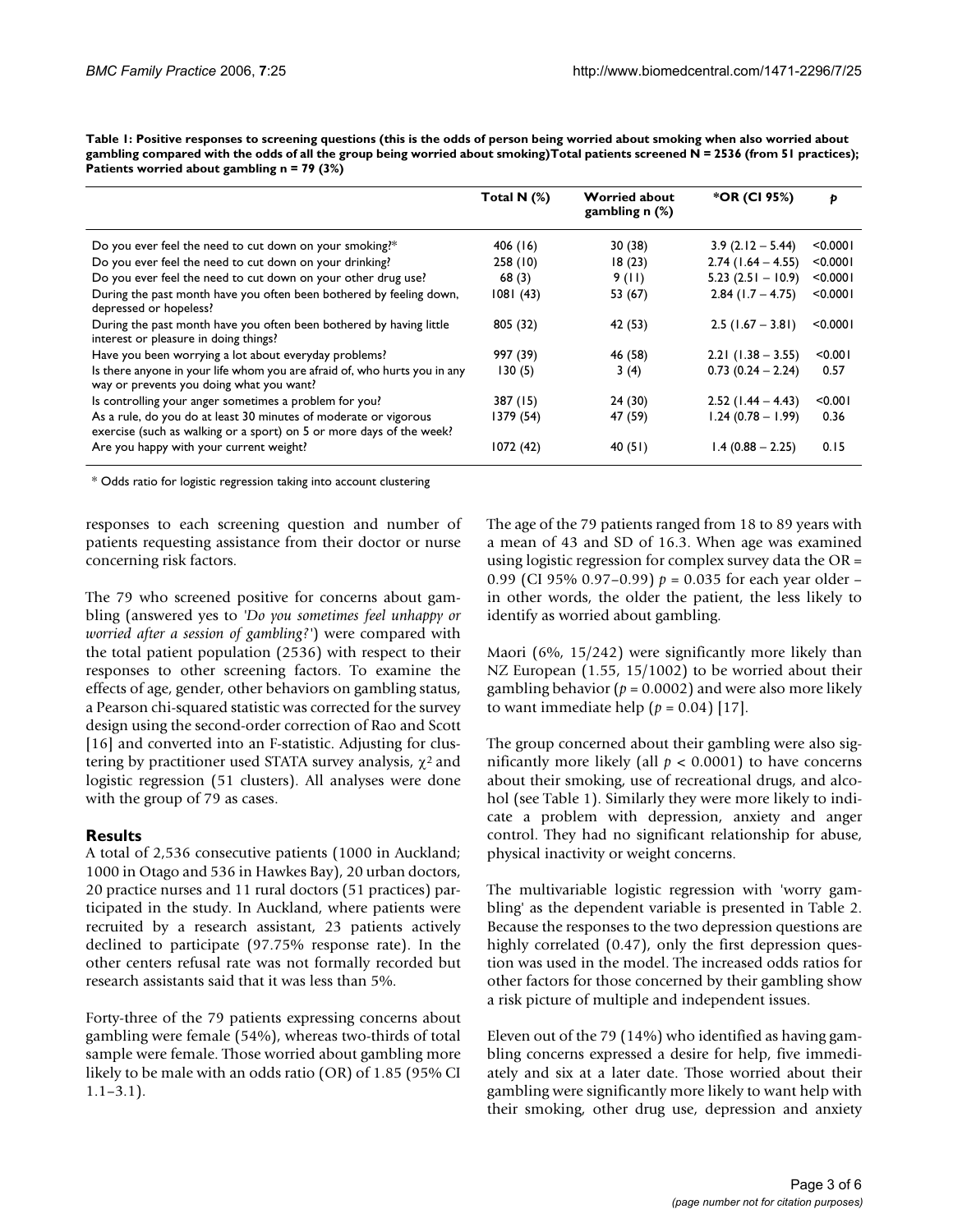**Table 1: Positive responses to screening questions (this is the odds of person being worried about smoking when also worried about gambling compared with the odds of all the group being worried about smoking)Total patients screened N = 2536 (from 51 practices); Patients worried about gambling n = 79 (3%)**

|                                                                                                                                          | Total N $(%)$ | <b>Worried about</b><br>gambling $n$ (%) | *OR (CI 95%)         | Þ        |
|------------------------------------------------------------------------------------------------------------------------------------------|---------------|------------------------------------------|----------------------|----------|
| Do you ever feel the need to cut down on your smoking?*                                                                                  | 406 (16)      | 30(38)                                   | $3.9(2.12 - 5.44)$   | < 0.0001 |
| Do you ever feel the need to cut down on your drinking?                                                                                  | 258(10)       | 18(23)                                   | $2.74$ (1.64 – 4.55) | < 0.0001 |
| Do you ever feel the need to cut down on your other drug use?                                                                            | 68(3)         | 9(11)                                    | $5.23$ (2.51 - 10.9) | < 0.0001 |
| During the past month have you often been bothered by feeling down,<br>depressed or hopeless?                                            | 1081(43)      | 53 (67)                                  | $2.84$ (1.7 – 4.75)  | < 0.0001 |
| During the past month have you often been bothered by having little<br>interest or pleasure in doing things?                             | 805 (32)      | 42 (53)                                  | $2.5$ (1.67 – 3.81)  | < 0.0001 |
| Have you been worrying a lot about everyday problems?                                                                                    | 997 (39)      | 46 (58)                                  | $2.21$ (1.38 – 3.55) | < 0.001  |
| Is there anyone in your life whom you are afraid of, who hurts you in any<br>way or prevents you doing what you want?                    | 130(5)        | 3(4)                                     | $0.73(0.24 - 2.24)$  | 0.57     |
| Is controlling your anger sometimes a problem for you?                                                                                   | 387 (15)      | 24 (30)                                  | $2.52$ (1.44 – 4.43) | < 0.001  |
| As a rule, do you do at least 30 minutes of moderate or vigorous<br>exercise (such as walking or a sport) on 5 or more days of the week? | 1379 (54)     | 47 (59)                                  | $1.24(0.78 - 1.99)$  | 0.36     |
| Are you happy with your current weight?                                                                                                  | 1072(42)      | 40(51)                                   | $1.4(0.88 - 2.25)$   | 0.15     |

\* Odds ratio for logistic regression taking into account clustering

responses to each screening question and number of patients requesting assistance from their doctor or nurse concerning risk factors.

The 79 who screened positive for concerns about gambling (answered yes to *'Do you sometimes feel unhappy or worried after a session of gambling?'*) were compared with the total patient population (2536) with respect to their responses to other screening factors. To examine the effects of age, gender, other behaviors on gambling status, a Pearson chi-squared statistic was corrected for the survey design using the second-order correction of Rao and Scott [16] and converted into an F-statistic. Adjusting for clustering by practitioner used STATA survey analysis,  $\chi^2$  and logistic regression (51 clusters). All analyses were done with the group of 79 as cases.

#### **Results**

A total of 2,536 consecutive patients (1000 in Auckland; 1000 in Otago and 536 in Hawkes Bay), 20 urban doctors, 20 practice nurses and 11 rural doctors (51 practices) participated in the study. In Auckland, where patients were recruited by a research assistant, 23 patients actively declined to participate (97.75% response rate). In the other centers refusal rate was not formally recorded but research assistants said that it was less than 5%.

Forty-three of the 79 patients expressing concerns about gambling were female (54%), whereas two-thirds of total sample were female. Those worried about gambling more likely to be male with an odds ratio (OR) of 1.85 (95% CI  $1.1 - 3.1$ .

The age of the 79 patients ranged from 18 to 89 years with a mean of 43 and SD of 16.3. When age was examined using logistic regression for complex survey data the OR = 0.99 (CI 95% 0.97–0.99) *p* = 0.035 for each year older – in other words, the older the patient, the less likely to identify as worried about gambling.

Maori (6%, 15/242) were significantly more likely than NZ European (1.55, 15/1002) to be worried about their gambling behavior (*p* = 0.0002) and were also more likely to want immediate help  $(p = 0.04)$  [17].

The group concerned about their gambling were also significantly more likely (all  $p < 0.0001$ ) to have concerns about their smoking, use of recreational drugs, and alcohol (see Table 1). Similarly they were more likely to indicate a problem with depression, anxiety and anger control. They had no significant relationship for abuse, physical inactivity or weight concerns.

The multivariable logistic regression with 'worry gambling' as the dependent variable is presented in Table 2. Because the responses to the two depression questions are highly correlated (0.47), only the first depression question was used in the model. The increased odds ratios for other factors for those concerned by their gambling show a risk picture of multiple and independent issues.

Eleven out of the 79 (14%) who identified as having gambling concerns expressed a desire for help, five immediately and six at a later date. Those worried about their gambling were significantly more likely to want help with their smoking, other drug use, depression and anxiety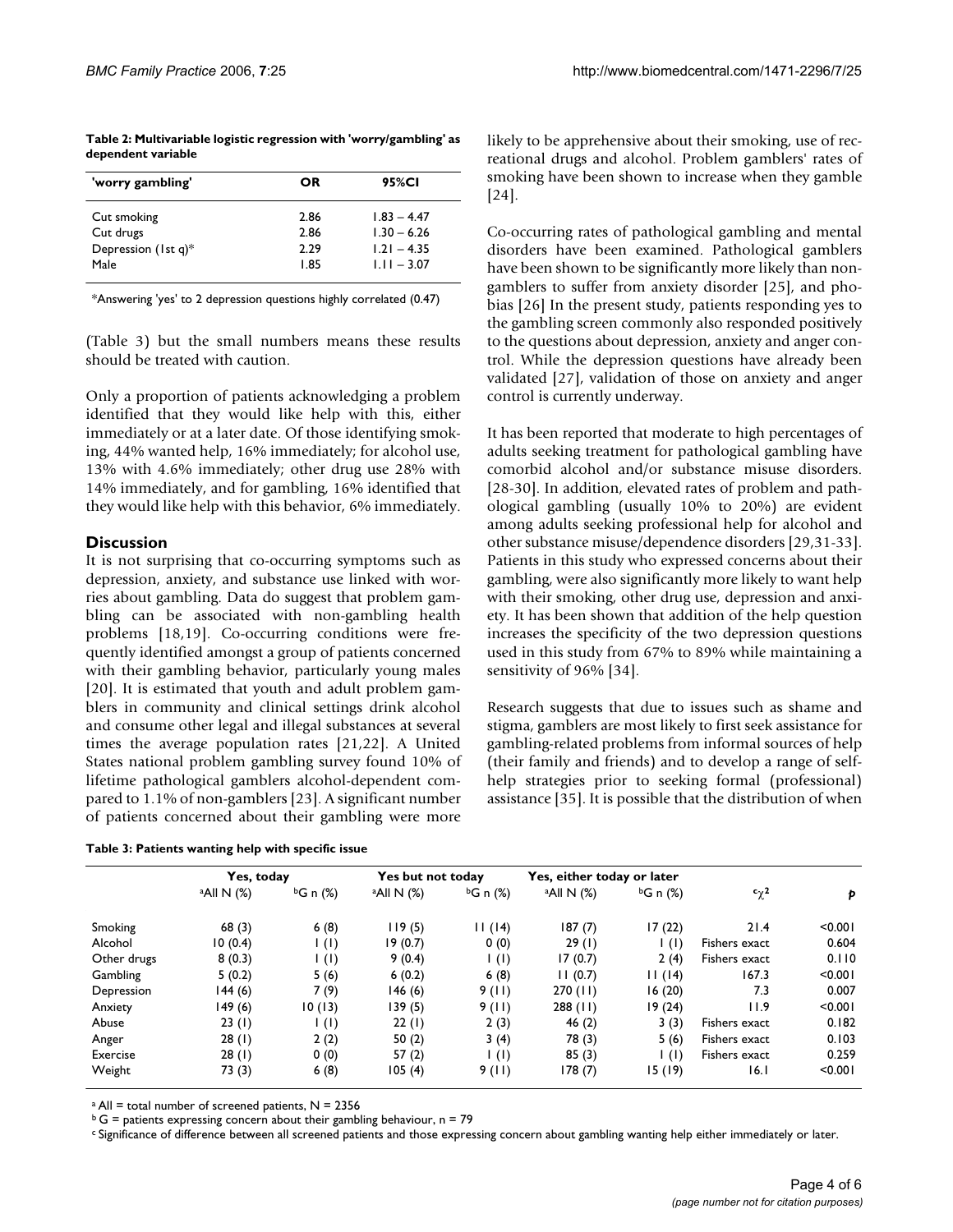|                    | Table 2: Multivariable logistic regression with 'worry/gambling' as |  |  |
|--------------------|---------------------------------------------------------------------|--|--|
| dependent variable |                                                                     |  |  |

| 'worry gambling'    | OR   | 95%CI         |  |
|---------------------|------|---------------|--|
| Cut smoking         | 2.86 | $1.83 - 4.47$ |  |
| Cut drugs           | 2.86 | $1.30 - 6.26$ |  |
| Depression (1st q)* | 2.29 | $1.21 - 4.35$ |  |
| Male                | 1.85 | $1.11 - 3.07$ |  |

\*Answering 'yes' to 2 depression questions highly correlated (0.47)

(Table 3) but the small numbers means these results should be treated with caution.

Only a proportion of patients acknowledging a problem identified that they would like help with this, either immediately or at a later date. Of those identifying smoking, 44% wanted help, 16% immediately; for alcohol use, 13% with 4.6% immediately; other drug use 28% with 14% immediately, and for gambling, 16% identified that they would like help with this behavior, 6% immediately.

#### **Discussion**

It is not surprising that co-occurring symptoms such as depression, anxiety, and substance use linked with worries about gambling. Data do suggest that problem gambling can be associated with non-gambling health problems [18,19]. Co-occurring conditions were frequently identified amongst a group of patients concerned with their gambling behavior, particularly young males [20]. It is estimated that youth and adult problem gamblers in community and clinical settings drink alcohol and consume other legal and illegal substances at several times the average population rates [21,22]. A United States national problem gambling survey found 10% of lifetime pathological gamblers alcohol-dependent compared to 1.1% of non-gamblers [23]. A significant number of patients concerned about their gambling were more

| Table 3: Patients wanting help with specific issue |  |  |  |  |
|----------------------------------------------------|--|--|--|--|
|----------------------------------------------------|--|--|--|--|

likely to be apprehensive about their smoking, use of recreational drugs and alcohol. Problem gamblers' rates of smoking have been shown to increase when they gamble [24].

Co-occurring rates of pathological gambling and mental disorders have been examined. Pathological gamblers have been shown to be significantly more likely than nongamblers to suffer from anxiety disorder [25], and phobias [26] In the present study, patients responding yes to the gambling screen commonly also responded positively to the questions about depression, anxiety and anger control. While the depression questions have already been validated [27], validation of those on anxiety and anger control is currently underway.

It has been reported that moderate to high percentages of adults seeking treatment for pathological gambling have comorbid alcohol and/or substance misuse disorders. [28-30]. In addition, elevated rates of problem and pathological gambling (usually 10% to 20%) are evident among adults seeking professional help for alcohol and other substance misuse/dependence disorders [29,31-33]. Patients in this study who expressed concerns about their gambling, were also significantly more likely to want help with their smoking, other drug use, depression and anxiety. It has been shown that addition of the help question increases the specificity of the two depression questions used in this study from 67% to 89% while maintaining a sensitivity of 96% [34].

Research suggests that due to issues such as shame and stigma, gamblers are most likely to first seek assistance for gambling-related problems from informal sources of help (their family and friends) and to develop a range of selfhelp strategies prior to seeking formal (professional) assistance [35]. It is possible that the distribution of when

|             | Yes, today             |                          | Yes but not today      |                          | Yes, either today or later |                  |                         |         |
|-------------|------------------------|--------------------------|------------------------|--------------------------|----------------------------|------------------|-------------------------|---------|
|             | <sup>a</sup> All N (%) | <sup>b</sup> G n (%)     | <sup>a</sup> All N (%) | <sup>b</sup> G n (%)     | <sup>a</sup> All N (%)     | $bG \nvert (% )$ | $c_{\chi}$ <sup>2</sup> | Þ       |
| Smoking     | 68(3)                  | 6(8)                     | 119(5)                 | 11(14)                   | 187(7)                     | 17(22)           | 21.4                    | < 0.001 |
| Alcohol     | 10(0.4)                | $\vert$ (l)              | 19(0.7)                | 0(0)                     | 29(1)                      | $\vert$ (l)      | Fishers exact           | 0.604   |
| Other drugs | 8(0.3)                 | $\vert$ (l)              | 9(0.4)                 | $\mathsf{I}(\mathsf{I})$ | 17(0.7)                    | 2(4)             | Fishers exact           | 0.110   |
| Gambling    | 5(0.2)                 | 5(6)                     | 6(0.2)                 | 6(8)                     | 11(0.7)                    | 11(14)           | 167.3                   | < 0.001 |
| Depression  | l 44 (6)               | 7(9)                     | 146(6)                 | 9(11)                    | 270(11)                    | 16(20)           | 7.3                     | 0.007   |
| Anxiety     | 149 (6)                | 10(13)                   | 139(5)                 | 9(11)                    | $288$ (11)                 | 19(24)           | 11.9                    | < 0.001 |
| Abuse       | 23(1)                  | $\mathsf{I}(\mathsf{I})$ | 22(1)                  | 2(3)                     | 46 $(2)$                   | 3(3)             | Fishers exact           | 0.182   |
| Anger       | 28(1)                  | 2(2)                     | 50 $(2)$               | 3(4)                     | 78 (3)                     | 5(6)             | Fishers exact           | 0.103   |
| Exercise    | 28(1)                  | 0(0)                     | 57(2)                  | $\mathsf{I}(\mathsf{I})$ | 85(3)                      | $\vert$ (l)      | Fishers exact           | 0.259   |
| Weight      | 73 (3)                 | 6(8)                     | 105(4)                 | 9(11)                    | 178(7)                     | 15(19)           | 16.I                    | < 0.001 |

 $a$  All = total number of screened patients, N = 2356

 $b G =$  patients expressing concern about their gambling behaviour, n = 79

c Significance of difference between all screened patients and those expressing concern about gambling wanting help either immediately or later.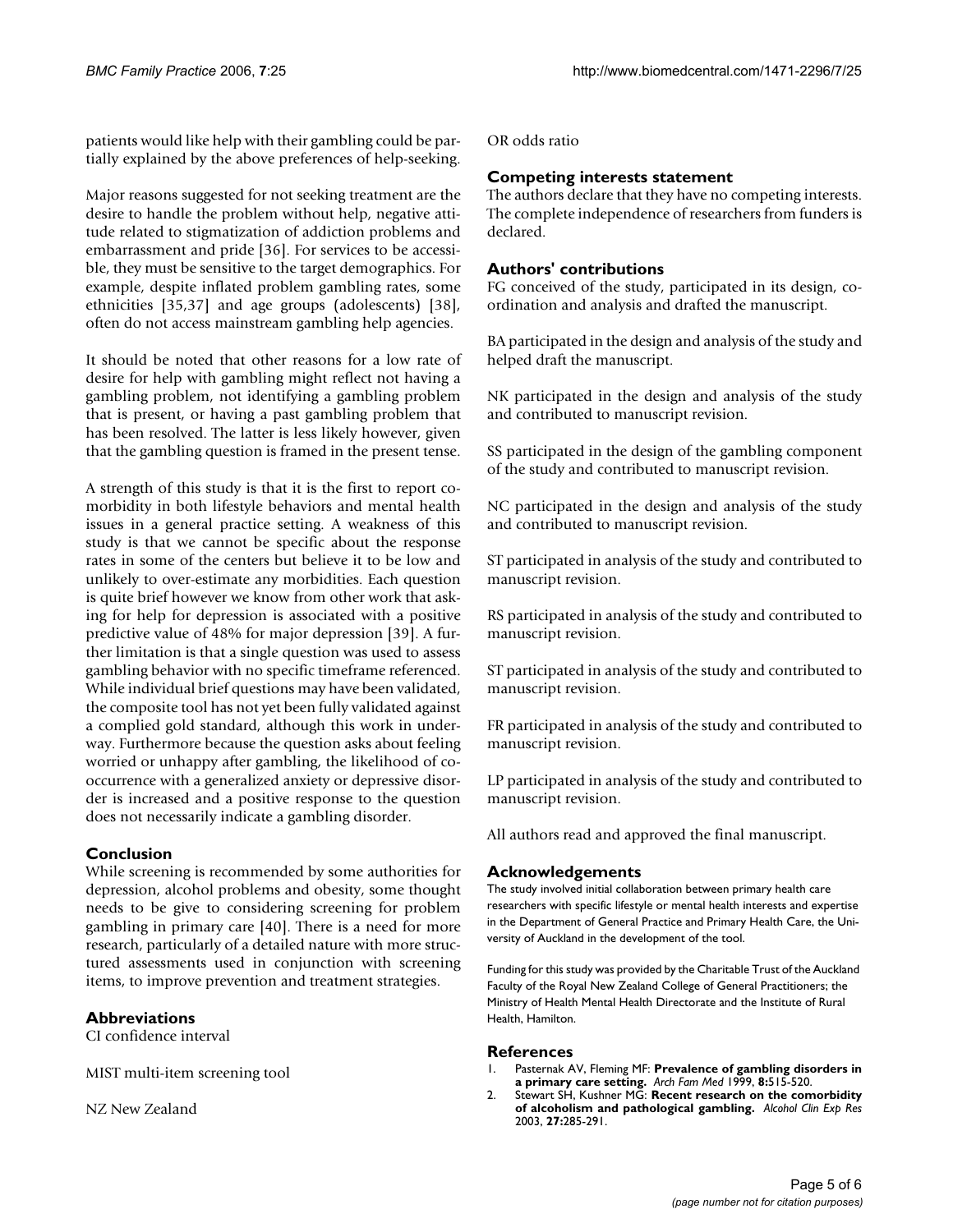patients would like help with their gambling could be partially explained by the above preferences of help-seeking.

Major reasons suggested for not seeking treatment are the desire to handle the problem without help, negative attitude related to stigmatization of addiction problems and embarrassment and pride [36]. For services to be accessible, they must be sensitive to the target demographics. For example, despite inflated problem gambling rates, some ethnicities [35,37] and age groups (adolescents) [38], often do not access mainstream gambling help agencies.

It should be noted that other reasons for a low rate of desire for help with gambling might reflect not having a gambling problem, not identifying a gambling problem that is present, or having a past gambling problem that has been resolved. The latter is less likely however, given that the gambling question is framed in the present tense.

A strength of this study is that it is the first to report comorbidity in both lifestyle behaviors and mental health issues in a general practice setting. A weakness of this study is that we cannot be specific about the response rates in some of the centers but believe it to be low and unlikely to over-estimate any morbidities. Each question is quite brief however we know from other work that asking for help for depression is associated with a positive predictive value of 48% for major depression [39]. A further limitation is that a single question was used to assess gambling behavior with no specific timeframe referenced. While individual brief questions may have been validated, the composite tool has not yet been fully validated against a complied gold standard, although this work in underway. Furthermore because the question asks about feeling worried or unhappy after gambling, the likelihood of cooccurrence with a generalized anxiety or depressive disorder is increased and a positive response to the question does not necessarily indicate a gambling disorder.

#### **Conclusion**

While screening is recommended by some authorities for depression, alcohol problems and obesity, some thought needs to be give to considering screening for problem gambling in primary care [40]. There is a need for more research, particularly of a detailed nature with more structured assessments used in conjunction with screening items, to improve prevention and treatment strategies.

#### **Abbreviations**

CI confidence interval

MIST multi-item screening tool

NZ New Zealand

OR odds ratio

#### **Competing interests statement**

The authors declare that they have no competing interests. The complete independence of researchers from funders is declared.

#### **Authors' contributions**

FG conceived of the study, participated in its design, coordination and analysis and drafted the manuscript.

BA participated in the design and analysis of the study and helped draft the manuscript.

NK participated in the design and analysis of the study and contributed to manuscript revision.

SS participated in the design of the gambling component of the study and contributed to manuscript revision.

NC participated in the design and analysis of the study and contributed to manuscript revision.

ST participated in analysis of the study and contributed to manuscript revision.

RS participated in analysis of the study and contributed to manuscript revision.

ST participated in analysis of the study and contributed to manuscript revision.

FR participated in analysis of the study and contributed to manuscript revision.

LP participated in analysis of the study and contributed to manuscript revision.

All authors read and approved the final manuscript.

#### **Acknowledgements**

The study involved initial collaboration between primary health care researchers with specific lifestyle or mental health interests and expertise in the Department of General Practice and Primary Health Care, the University of Auckland in the development of the tool.

Funding for this study was provided by the Charitable Trust of the Auckland Faculty of the Royal New Zealand College of General Practitioners; the Ministry of Health Mental Health Directorate and the Institute of Rural Health, Hamilton.

#### **References**

- 1. Pasternak AV, Fleming MF: **Prevalence of gambling disorders in a primary care setting.** *Arch Fam Med* 1999, **8:**515-520.
- 2. Stewart SH, Kushner MG: **[Recent research on the comorbidity](http://www.ncbi.nlm.nih.gov/entrez/query.fcgi?cmd=Retrieve&db=PubMed&dopt=Abstract&list_uids=12605078) [of alcoholism and pathological gambling.](http://www.ncbi.nlm.nih.gov/entrez/query.fcgi?cmd=Retrieve&db=PubMed&dopt=Abstract&list_uids=12605078)** *Alcohol Clin Exp Res* 2003, **27:**285-291.